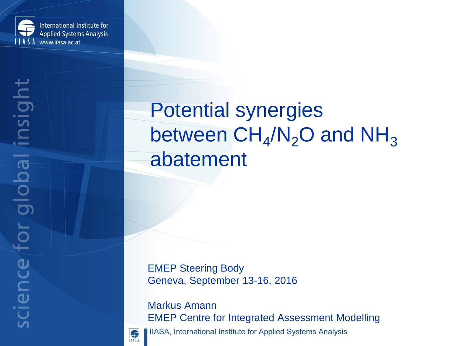

# Potential synergies between  $CH_4/N_2O$  and  $NH_3$ abatement

EMEP Steering Body Geneva, September 13-16, 2016

Markus Amann EMEP Centre for Integrated Assessment Modelling IIASA, International Institute for Applied Systems Analysis



6 **ILASA** 

science for global insight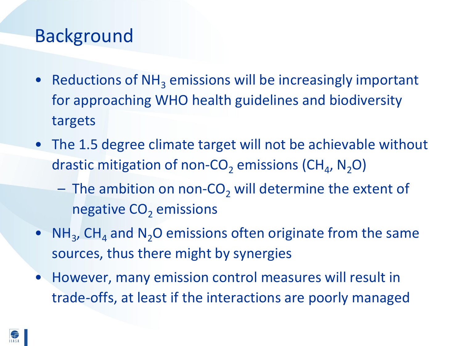#### Background

- Reductions of  $NH<sub>3</sub>$  emissions will be increasingly important for approaching WHO health guidelines and biodiversity targets
- The 1.5 degree climate target will not be achievable without drastic mitigation of non-CO<sub>2</sub> emissions (CH<sub>4</sub>, N<sub>2</sub>O)
	- $-$  The ambition on non-CO<sub>2</sub> will determine the extent of negative  $CO<sub>2</sub>$  emissions
- $NH_3$ , CH<sub>4</sub> and N<sub>2</sub>O emissions often originate from the same sources, thus there might by synergies
- However, many emission control measures will result in trade-offs, at least if the interactions are poorly managed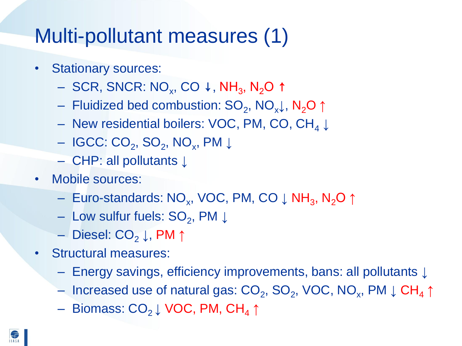## Multi-pollutant measures (1)

- Stationary sources:
	- SCR, SNCR: NO<sub>x</sub>, CO ↓, NH<sub>3</sub>, N<sub>2</sub>O ↑
	- Fluidized bed combustion: SO<sub>2</sub>, NO<sub>x</sub>↓, N<sub>2</sub>O ↑
	- New residential boilers: VOC, PM, CO, CH<sup>4</sup> **↓**
	- IGCC: CO<sup>2</sup> , SO<sup>2</sup> , NO<sup>x</sup> , PM **↓**
	- CHP: all pollutants **↓**
- Mobile sources:
	- Euro-standards: NO<sub>x</sub>, VOC, PM, CO ↓ NH<sub>3</sub>, N<sub>2</sub>O ↑
	- Low sulfur fuels: SO<sup>2</sup> , PM **↓**
	- Diesel: CO<sup>2</sup> **↓**, PM **↑**
- Structural measures:
	- Energy savings, efficiency improvements, bans: all pollutants **↓**
	- Increased use of natural gas: CO<sub>2</sub>, SO<sub>2</sub>, VOC, NO<sub>x</sub>, PM ↓ CH<sub>4</sub> ↑
	- Biomass: CO2 **↓** VOC, PM, CH<sup>4</sup> **↑**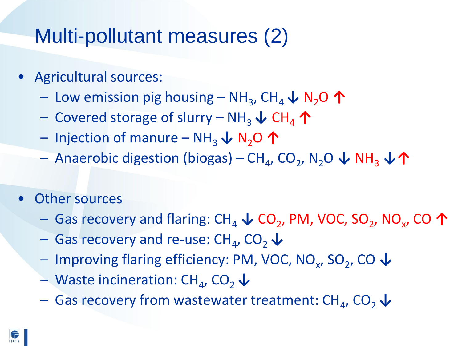## Multi-pollutant measures (2)

- Agricultural sources:
	- $-$  Low emission pig housing NH<sub>3</sub>, CH<sub>4</sub> ↓ N<sub>2</sub>O ↑
	- Covered storage of slurry NH3 **↓** CH<sup>4</sup> **↑**
	- Injection of manure NH3 **↓** N2O **↑**
	- $-$  Anaerobic digestion (biogas) CH<sub>4</sub>, CO<sub>2</sub>, N<sub>2</sub>O ↓ NH<sub>3</sub> ↓个
- **Other sources** 
	- Gas recovery and flaring: CH<sub>4</sub> ↓ CO<sub>2</sub>, PM, VOC, SO<sub>2</sub>, NO<sub>x</sub>, CO ↑
	- Gas recovery and re-use: CH<sup>4</sup> , CO2 **↓**
	- Improving flaring efficiency: PM, VOC, NO<sup>x</sup> , SO<sup>2</sup> , CO **↓**
	- Waste incineration: CH<sub>4</sub>, CO<sub>2</sub> ↓
	- Gas recovery from wastewater treatment: CH<sup>4</sup> , CO2 **↓**